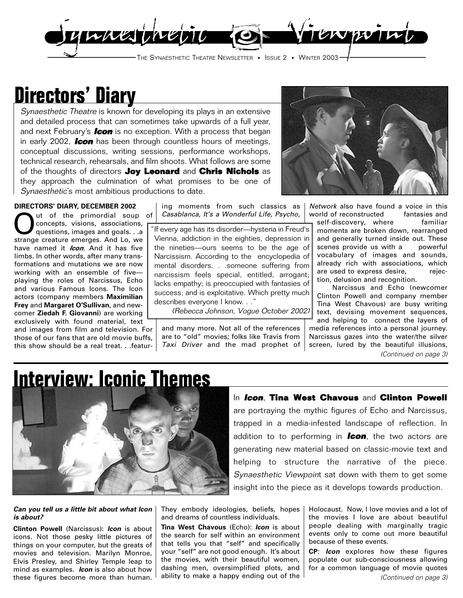

## **Directors' Diary**

Synaesthetic Theatre is known for developing its plays in an extensive and detailed process that can sometimes take upwards of a full year, and next February's **Icon** is no exception. With a process that began in early 2002, **Icon** has been through countless hours of meetings, conceptual discussions, writing sessions, performance workshops, technical research, rehearsals, and film shoots. What follows are some of the thoughts of directors **Joy Leonard** and **Chris Nichols** as they approach the culmination of what promises to be one of Synaesthetic's most ambitious productions to date.

### **DIRECTORS' DIARY, DECEMBER 2002**

Out of the primordial soup of<br>concepts, visions, associations,<br>questions, images and goals...a concepts, visions, associations, questions, images and goals. . .a strange creature emerges. And Lo, we have named it **Icon**. And it has five limbs. In other words, after many transformations and mutations we are now working with an ensemble of five playing the roles of Narcissus, Echo and various Famous Icons. The Icon actors (company members **Maximilian Frey** and **Margaret O'Sullivan**, and newcomer **Ziedah F. Giovanni**) are working exclusively with found material, text and images from film and television. For

those of our fans that are old movie buffs, this show should be a real treat. . .featur-

ing moments from such classics as Casablanca, It's a Wonderful Life, Psycho,

"If every age has its disorder—hysteria in Freud's Vienna, addiction in the eighties, depression in the nineties—ours seems to be the age of Narcissism. According to the encyclopedia of mental disorders. . .someone suffering from narcissism feels special, entitled, arrogant; lacks empathy; is preoccupied with fantasies of success; and is exploitative. Which pretty much describes everyone I know. . ."

(Rebecca Johnson, Vogue October 2002)

and many more. Not all of the references are to "old" movies; folks like Travis from Taxi Driver and the mad prophet of



Network also have found a voice in this world of reconstructed fantasies and

self-discovery, where familiar moments are broken down, rearranged and generally turned inside out. These scenes provide us with a powerful vocabulary of images and sounds, already rich with associations, which are used to express desire, rejection, delusion and recognition.

Narcissus and Echo (newcomer Clinton Powell and company member Tina West Chavous) are busy writing text, devising movement sequences, and helping to connect the layers of media references into a personal journey. Narcissus gazes into the water/the silver screen, lured by the beautiful illusions, (Continued on page 3)

## **Interview: Iconic Themes**



### In **Icon**, **Tina West Chavous** and **Clinton Powell**

are portraying the mythic figures of Echo and Narcissus, trapped in a media-infested landscape of reflection. In addition to to performing in **Icon**, the two actors are generating new material based on classic-movie text and helping to structure the narrative of the piece. Synaesthetic Viewpoint sat down with them to get some insight into the piece as it develops towards production.

### **Can you tell us a little bit about what Icon is about?**

**Clinton Powell** (Narcissus): **Icon** is about icons. Not those pesky little pictures of things on your computer, but the greats of movies and television. Marilyn Monroe, Elvis Presley, and Shirley Temple leap to mind as examples. **Icon** is also about how these figures become more than human.

They embody ideologies, beliefs, hopes and dreams of countless individuals.

**Tina West Chavous** (Echo): **Icon** is about the search for self within an environment that tells you that "self" and specifically your "self" are not good enough. It's about the movies, with their beautiful women, dashing men, oversimplified plots, and ability to make a happy ending out of the Holocaust. Now, I love movies and a lot of the movies I love are about beautiful people dealing with marginally tragic events only to come out more beautiful because of these events.

**CP**: **Icon** explores how these figures populate our sub-consciousness allowing for a common language of movie quotes (Continued on page 3)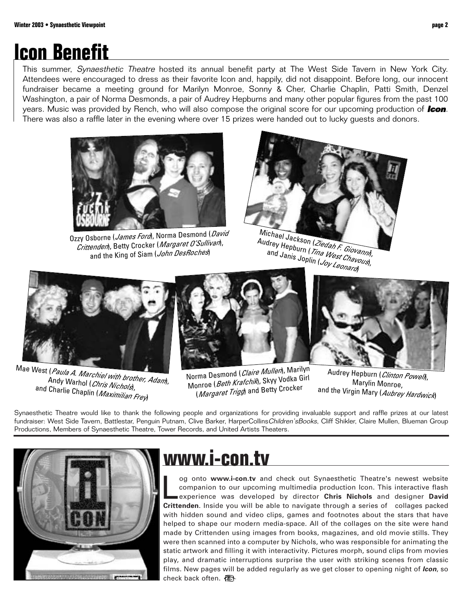## **Icon Benefit**

This summer, *Synaesthetic Theatre* hosted its annual benefit party at The West Side Tavern in New York City. Attendees were encouraged to dress as their favorite Icon and, happily, did not disappoint. Before long, our innocent fundraiser became a meeting ground for Marilyn Monroe, Sonny & Cher, Charlie Chaplin, Patti Smith, Denzel Washington, a pair of Norma Desmonds, a pair of Audrey Hepburns and many other popular figures from the past 100 years. Music was provided by Rench, who will also compose the original score for our upcoming production of **Icon**. There was also a raffle later in the evening where over 15 prizes were handed out to lucky guests and donors.



Ozzy Osborne (*James Ford*), Norma Desmond (*David* Crittenden), Betty Crocker (Margaret O'Sullivan), and the King of Siam (John DesRoches)



Michael Jackson (Ziedah F. Giovanni), Audrey Hepburn (Tina West Chavous), and Janis Joplin (Joy Leonard)



Mae West (*Paula A. Marchiel with brother, Adam*),<br>Andy Warhol (*Chrie Nis ), wither, Adam*), Andy Warhol (*Chris Nichols*),<br>Charlie Chesti and Charlie Chaplin (*Maximilian Frey*)



Norma Desmond (Claire Mullen), Marilyn Monroe (Beth Krafchik), Skyy Vodka Girl (*Margaret Trigg*) and Betty Crocker



Audrey Hepburn (Clinton Powell), Marylin Monroe, and the Virgin Mary (Aubrey Hardwick)

Synaesthetic Theatre would like to thank the following people and organizations for providing invaluable support and raffle prizes at our latest fundraiser: West Side Tavern, Battlestar, Penguin Putnam, Clive Barker, HarperCollinsChildren'sBooks, Cliff Shikler, Claire Mullen, Blueman Group Productions, Members of Synaesthetic Theatre, Tower Records, and United Artists Theaters.



## **www.i-con.tv**

og onto www.i-con.tv and check out Synaesthetic Theatre's newest website companion to our upcoming multimedia production Icon. This interactive flash experience was developed by director **Chris Nichols** and designer **David Crittenden**. Inside you will be able to navigate through a series of collages packed with hidden sound and video clips, games and footnotes about the stars that have helped to shape our modern media-space. All of the collages on the site were hand made by Crittenden using images from books, magazines, and old movie stills. They were then scanned into a computer by Nichols, who was responsible for animating the static artwork and filling it with interactivity. Pictures morph, sound clips from movies play, and dramatic interruptions surprise the user with striking scenes from classic films. New pages will be added regularly as we get closer to opening night of **Icon**, so check back often.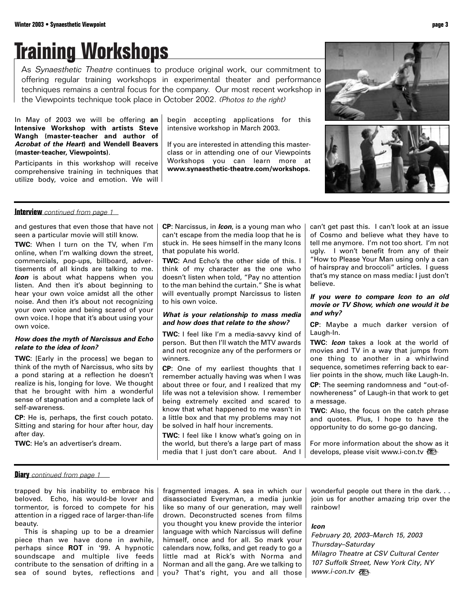# **Training Workshops**

As Synaesthetic Theatre continues to produce original work, our commitment to offering regular training workshops in experimental theater and performance techniques remains a central focus for the company. Our most recent workshop in the Viewpoints technique took place in October 2002. (Photos to the right)

In May of 2003 we will be offering **an Intensive Workshop with artists Steve Wangh (master-teacher and author of Acrobat of the Heart) and Wendell Beavers (master-teacher, Viewpoints)**.

Participants in this workshop will receive comprehensive training in techniques that utilize body, voice and emotion. We will begin accepting applications for this intensive workshop in March 2003.

If you are interested in attending this masterclass or in attending one of our Viewpoints Workshops you can learn more at **www.synaesthetic-theatre.com/workshops.**



### **Interview** continued from page 1

and gestures that even those that have not seen a particular movie will still know.

**TWC**: When I turn on the TV, when I'm online, when I'm walking down the street, commercials, pop-ups, billboard, advertisements of all kinds are talking to me. *Icon* is about what happens when you listen. And then it's about beginning to hear your own voice amidst all the other noise. And then it's about not recognizing your own voice and being scared of your own voice. I hope that it's about using your own voice.

### **How does the myth of Narcissus and Echo relate to the idea of Icon?**

**TWC:** [Early in the process] we began to think of the myth of Narcissus, who sits by a pond staring at a reflection he doesn't realize is his, longing for love. We thought that he brought with him a wonderful sense of stagnation and a complete lack of self-awareness.

**CP**: He is, perhaps, the first couch potato. Sitting and staring for hour after hour, day after day.

**TWC**: He's an advertiser's dream.

**CP**: Narcissus, in **Icon**, is a young man who can't escape from the media loop that he is stuck in. He sees himself in the many Icons that populate his world.

**TWC**: And Echo's the other side of this. I think of my character as the one who doesn't listen when told, "Pay no attention to the man behind the curtain." She is what will eventually prompt Narcissus to listen to his own voice.

#### **What is your relationship to mass media and how does that relate to the show?**

**TWC**: I feel like I'm a media-savvy kind of person. But then I'll watch the MTV awards and not recognize any of the performers or winners.

**CP**: One of my earliest thoughts that I remember actually having was when I was about three or four, and I realized that my life was not a television show. I remember being extremely excited and scared to know that what happened to me wasn't in a little box and that my problems may not be solved in half hour increments.

**TWC**: I feel like I know what's going on in the world, but there's a large part of mass media that I just don't care about. And I can't get past this. I can't look at an issue of Cosmo and believe what they have to tell me anymore. I'm not too short. I'm not ugly. I won't benefit from any of their "How to Please Your Man using only a can of hairspray and broccoli" articles. I guess that's my stance on mass media: I just don't believe.

#### **If you were to compare Icon to an old movie or TV Show, which one would it be and why?**

**CP**: Maybe a much darker version of Laugh-In.

**TWC**: **Icon** takes a look at the world of movies and TV in a way that jumps from one thing to another in a whirlwind sequence, sometimes referring back to earlier points in the show, much like Laugh-In. **CP**: The seeming randomness and "out-ofnowhereness" of Laugh-in that work to get a message.

**TWC**: Also, the focus on the catch phrase and quotes. Plus, I hope to have the opportunity to do some go-go dancing.

For more information about the show as it develops, please visit www.i-con.tv

**Diary** continued from page 1

trapped by his inability to embrace his beloved. Echo, his would-be lover and tormentor, is forced to compete for his attention in a rigged race of larger-than-life beauty.

This is shaping up to be a dreamier piece than we have done in awhile, perhaps since **ROT** in '99. A hypnotic soundscape and multiple live feeds contribute to the sensation of drifting in a sea of sound bytes, reflections and fragmented images. A sea in which our disassociated Everyman, a media junkie like so many of our generation, may well drown. Deconstructed scenes from films you thought you knew provide the interior language with which Narcissus will define himself, once and for all. So mark your calendars now, folks, and get ready to go a little mad at Rick's with Norma and Norman and all the gang. Are we talking to you? That's right, you and all those

wonderful people out there in the dark. . . join us for another amazing trip over the rainbow!

### **Icon**

February 20, 2003–March 15, 2003 Thursday–Saturday Milagro Theatre at CSV Cultural Center 107 Suffolk Street, New York City, NY www.i-con.tv